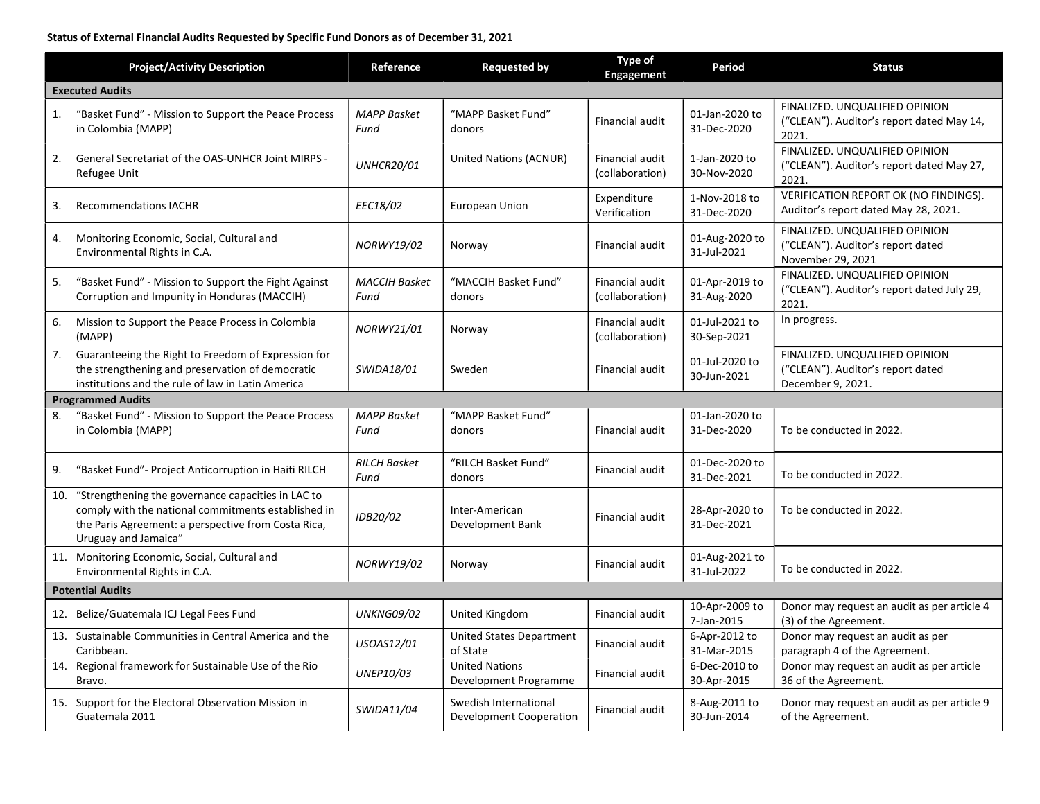## Status of External Financial Audits Requested by Specific Fund Donors as of December 31, 2021

|                         | <b>Project/Activity Description</b>                                                                                                                                                      | Reference                    | <b>Requested by</b>                              | <b>Type of</b><br><b>Engagement</b> | Period                        | <b>Status</b>                                                                            |  |  |  |
|-------------------------|------------------------------------------------------------------------------------------------------------------------------------------------------------------------------------------|------------------------------|--------------------------------------------------|-------------------------------------|-------------------------------|------------------------------------------------------------------------------------------|--|--|--|
| <b>Executed Audits</b>  |                                                                                                                                                                                          |                              |                                                  |                                     |                               |                                                                                          |  |  |  |
| 1.                      | "Basket Fund" - Mission to Support the Peace Process<br>in Colombia (MAPP)                                                                                                               | <b>MAPP Basket</b><br>Fund   | "MAPP Basket Fund"<br>donors                     | Financial audit                     | 01-Jan-2020 to<br>31-Dec-2020 | FINALIZED. UNQUALIFIED OPINION<br>("CLEAN"). Auditor's report dated May 14,<br>2021.     |  |  |  |
| 2.                      | <b>General Secretariat of the OAS-UNHCR Joint MIRPS -</b><br>Refugee Unit                                                                                                                | <b>UNHCR20/01</b>            | United Nations (ACNUR)                           | Financial audit<br>(collaboration)  | 1-Jan-2020 to<br>30-Nov-2020  | FINALIZED. UNQUALIFIED OPINION<br>("CLEAN"). Auditor's report dated May 27,<br>2021.     |  |  |  |
| 3.                      | <b>Recommendations IACHR</b>                                                                                                                                                             | EEC18/02                     | European Union                                   | Expenditure<br>Verification         | 1-Nov-2018 to<br>31-Dec-2020  | VERIFICATION REPORT OK (NO FINDINGS).<br>Auditor's report dated May 28, 2021.            |  |  |  |
| 4.                      | Monitoring Economic, Social, Cultural and<br>Environmental Rights in C.A.                                                                                                                | NORWY19/02                   | Norway                                           | Financial audit                     | 01-Aug-2020 to<br>31-Jul-2021 | FINALIZED. UNQUALIFIED OPINION<br>("CLEAN"). Auditor's report dated<br>November 29, 2021 |  |  |  |
| 5.                      | "Basket Fund" - Mission to Support the Fight Against<br>Corruption and Impunity in Honduras (MACCIH)                                                                                     | <b>MACCIH Basket</b><br>Fund | "MACCIH Basket Fund"<br>donors                   | Financial audit<br>(collaboration)  | 01-Apr-2019 to<br>31-Aug-2020 | FINALIZED, UNQUALIFIED OPINION<br>("CLEAN"). Auditor's report dated July 29,<br>2021.    |  |  |  |
| 6.                      | Mission to Support the Peace Process in Colombia<br>(MAPP)                                                                                                                               | NORWY21/01                   | Norway                                           | Financial audit<br>(collaboration)  | 01-Jul-2021 to<br>30-Sep-2021 | In progress.                                                                             |  |  |  |
| 7.                      | Guaranteeing the Right to Freedom of Expression for<br>the strengthening and preservation of democratic<br>institutions and the rule of law in Latin America                             | SWIDA18/01                   | Sweden                                           | Financial audit                     | 01-Jul-2020 to<br>30-Jun-2021 | FINALIZED. UNQUALIFIED OPINION<br>("CLEAN"). Auditor's report dated<br>December 9, 2021. |  |  |  |
|                         | <b>Programmed Audits</b>                                                                                                                                                                 |                              |                                                  |                                     |                               |                                                                                          |  |  |  |
| 8.                      | "Basket Fund" - Mission to Support the Peace Process<br>in Colombia (MAPP)                                                                                                               | <b>MAPP Basket</b><br>Fund   | "MAPP Basket Fund"<br>donors                     | Financial audit                     | 01-Jan-2020 to<br>31-Dec-2020 | To be conducted in 2022.                                                                 |  |  |  |
| 9.                      | "Basket Fund"- Project Anticorruption in Haiti RILCH                                                                                                                                     | <b>RILCH Basket</b><br>Fund  | "RILCH Basket Fund"<br>donors                    | Financial audit                     | 01-Dec-2020 to<br>31-Dec-2021 | To be conducted in 2022.                                                                 |  |  |  |
| 10.                     | "Strengthening the governance capacities in LAC to<br>comply with the national commitments established in<br>the Paris Agreement: a perspective from Costa Rica,<br>Uruguay and Jamaica" | IDB20/02                     | Inter-American<br>Development Bank               | Financial audit                     | 28-Apr-2020 to<br>31-Dec-2021 | To be conducted in 2022.                                                                 |  |  |  |
|                         | 11. Monitoring Economic, Social, Cultural and<br>Environmental Rights in C.A.                                                                                                            | NORWY19/02                   | Norway                                           | Financial audit                     | 01-Aug-2021 to<br>31-Jul-2022 | To be conducted in 2022.                                                                 |  |  |  |
| <b>Potential Audits</b> |                                                                                                                                                                                          |                              |                                                  |                                     |                               |                                                                                          |  |  |  |
|                         | 12. Belize/Guatemala ICJ Legal Fees Fund                                                                                                                                                 | <b>UNKNG09/02</b>            | United Kingdom                                   | Financial audit                     | 10-Apr-2009 to<br>7-Jan-2015  | Donor may request an audit as per article 4<br>(3) of the Agreement.                     |  |  |  |
|                         | 13. Sustainable Communities in Central America and the<br>Caribbean.                                                                                                                     | USOAS12/01                   | <b>United States Department</b><br>of State      | Financial audit                     | 6-Apr-2012 to<br>31-Mar-2015  | Donor may request an audit as per<br>paragraph 4 of the Agreement.                       |  |  |  |
| 14.                     | Regional framework for Sustainable Use of the Rio<br>Bravo.                                                                                                                              | UNEP10/03                    | <b>United Nations</b><br>Development Programme   | Financial audit                     | 6-Dec-2010 to<br>30-Apr-2015  | Donor may request an audit as per article<br>36 of the Agreement.                        |  |  |  |
|                         | 15. Support for the Electoral Observation Mission in<br>Guatemala 2011                                                                                                                   | SWIDA11/04                   | Swedish International<br>Development Cooperation | Financial audit                     | 8-Aug-2011 to<br>30-Jun-2014  | Donor may request an audit as per article 9<br>of the Agreement.                         |  |  |  |